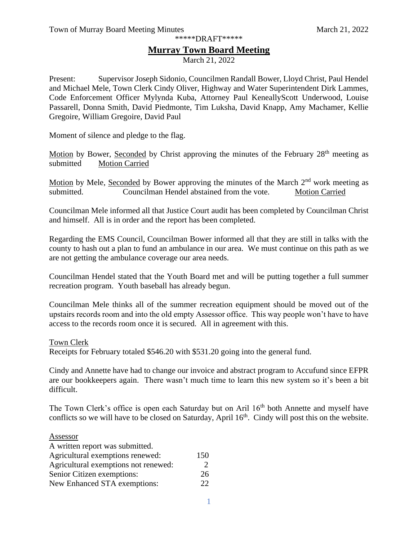# **Murray Town Board Meeting**

March 21, 2022

Present: Supervisor Joseph Sidonio, Councilmen Randall Bower, Lloyd Christ, Paul Hendel and Michael Mele, Town Clerk Cindy Oliver, Highway and Water Superintendent Dirk Lammes, Code Enforcement Officer Mylynda Kuba, Attorney Paul KeneallyScott Underwood, Louise Passarell, Donna Smith, David Piedmonte, Tim Luksha, David Knapp, Amy Machamer, Kellie Gregoire, William Gregoire, David Paul

Moment of silence and pledge to the flag.

Motion by Bower, Seconded by Christ approving the minutes of the February  $28<sup>th</sup>$  meeting as submitted Motion Carried

Motion by Mele, Seconded by Bower approving the minutes of the March  $2<sup>nd</sup>$  work meeting as submitted. Councilman Hendel abstained from the vote. Motion Carried

Councilman Mele informed all that Justice Court audit has been completed by Councilman Christ and himself. All is in order and the report has been completed.

Regarding the EMS Council, Councilman Bower informed all that they are still in talks with the county to hash out a plan to fund an ambulance in our area. We must continue on this path as we are not getting the ambulance coverage our area needs.

Councilman Hendel stated that the Youth Board met and will be putting together a full summer recreation program. Youth baseball has already begun.

Councilman Mele thinks all of the summer recreation equipment should be moved out of the upstairs records room and into the old empty Assessor office. This way people won't have to have access to the records room once it is secured. All in agreement with this.

#### Town Clerk

Receipts for February totaled \$546.20 with \$531.20 going into the general fund.

Cindy and Annette have had to change our invoice and abstract program to Accufund since EFPR are our bookkeepers again. There wasn't much time to learn this new system so it's been a bit difficult.

The Town Clerk's office is open each Saturday but on Aril 16<sup>th</sup> both Annette and myself have conflicts so we will have to be closed on Saturday, April  $16<sup>th</sup>$ . Cindy will post this on the website.

#### Assessor

| A written report was submitted.      |               |
|--------------------------------------|---------------|
| Agricultural exemptions renewed:     | 150           |
| Agricultural exemptions not renewed: | $\mathcal{D}$ |
| Senior Citizen exemptions:           | 26            |
| New Enhanced STA exemptions:         | 22.           |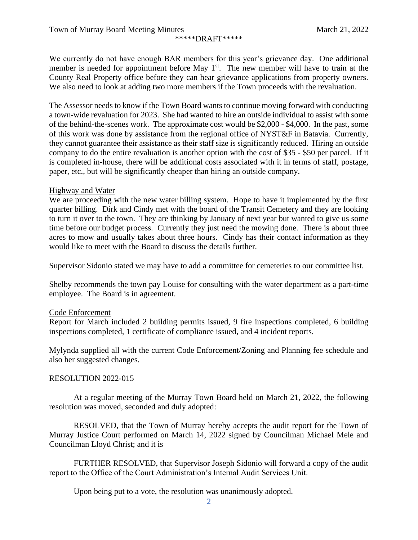We currently do not have enough BAR members for this year's grievance day. One additional member is needed for appointment before May 1<sup>st</sup>. The new member will have to train at the County Real Property office before they can hear grievance applications from property owners. We also need to look at adding two more members if the Town proceeds with the revaluation.

The Assessor needs to know if the Town Board wants to continue moving forward with conducting a town-wide revaluation for 2023. She had wanted to hire an outside individual to assist with some of the behind-the-scenes work. The approximate cost would be \$2,000 - \$4,000. In the past, some of this work was done by assistance from the regional office of NYST&F in Batavia. Currently, they cannot guarantee their assistance as their staff size is significantly reduced. Hiring an outside company to do the entire revaluation is another option with the cost of \$35 - \$50 per parcel. If it is completed in-house, there will be additional costs associated with it in terms of staff, postage, paper, etc., but will be significantly cheaper than hiring an outside company.

## Highway and Water

We are proceeding with the new water billing system. Hope to have it implemented by the first quarter billing. Dirk and Cindy met with the board of the Transit Cemetery and they are looking to turn it over to the town. They are thinking by January of next year but wanted to give us some time before our budget process. Currently they just need the mowing done. There is about three acres to mow and usually takes about three hours. Cindy has their contact information as they would like to meet with the Board to discuss the details further.

Supervisor Sidonio stated we may have to add a committee for cemeteries to our committee list.

Shelby recommends the town pay Louise for consulting with the water department as a part-time employee. The Board is in agreement.

## Code Enforcement

Report for March included 2 building permits issued, 9 fire inspections completed, 6 building inspections completed, 1 certificate of compliance issued, and 4 incident reports.

Mylynda supplied all with the current Code Enforcement/Zoning and Planning fee schedule and also her suggested changes.

## RESOLUTION 2022-015

At a regular meeting of the Murray Town Board held on March 21, 2022, the following resolution was moved, seconded and duly adopted:

RESOLVED, that the Town of Murray hereby accepts the audit report for the Town of Murray Justice Court performed on March 14, 2022 signed by Councilman Michael Mele and Councilman Lloyd Christ; and it is

FURTHER RESOLVED, that Supervisor Joseph Sidonio will forward a copy of the audit report to the Office of the Court Administration's Internal Audit Services Unit.

Upon being put to a vote, the resolution was unanimously adopted.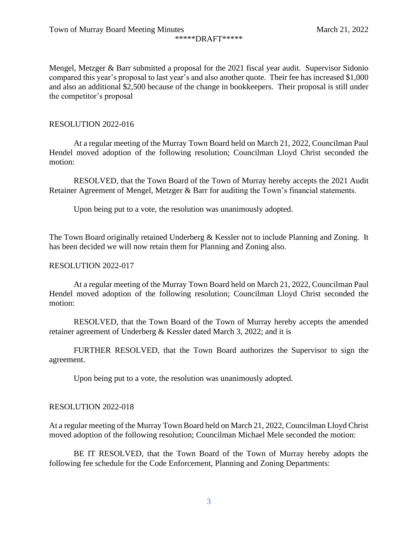Mengel, Metzger & Barr submitted a proposal for the 2021 fiscal year audit. Supervisor Sidonio compared this year's proposal to last year's and also another quote. Their fee has increased \$1,000 and also an additional \$2,500 because of the change in bookkeepers. Their proposal is still under the competitor's proposal

## RESOLUTION 2022-016

At a regular meeting of the Murray Town Board held on March 21, 2022, Councilman Paul Hendel moved adoption of the following resolution; Councilman Lloyd Christ seconded the motion:

RESOLVED, that the Town Board of the Town of Murray hereby accepts the 2021 Audit Retainer Agreement of Mengel, Metzger & Barr for auditing the Town's financial statements.

Upon being put to a vote, the resolution was unanimously adopted.

The Town Board originally retained Underberg & Kessler not to include Planning and Zoning. It has been decided we will now retain them for Planning and Zoning also.

## RESOLUTION 2022-017

At a regular meeting of the Murray Town Board held on March 21, 2022, Councilman Paul Hendel moved adoption of the following resolution; Councilman Lloyd Christ seconded the motion:

RESOLVED, that the Town Board of the Town of Murray hereby accepts the amended retainer agreement of Underberg & Kessler dated March 3, 2022; and it is

FURTHER RESOLVED, that the Town Board authorizes the Supervisor to sign the agreement.

Upon being put to a vote, the resolution was unanimously adopted.

# RESOLUTION 2022-018

At a regular meeting of the Murray Town Board held on March 21, 2022, Councilman Lloyd Christ moved adoption of the following resolution; Councilman Michael Mele seconded the motion:

BE IT RESOLVED, that the Town Board of the Town of Murray hereby adopts the following fee schedule for the Code Enforcement, Planning and Zoning Departments: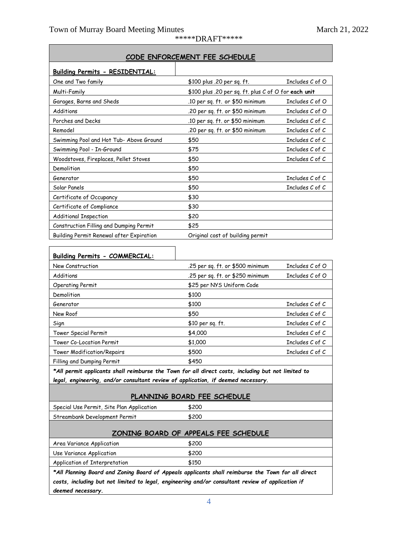| CODE ENFORCEMENT FEE SCHEDULE            |                                                      |                 |  |
|------------------------------------------|------------------------------------------------------|-----------------|--|
| <b>Building Permits - RESIDENTIAL:</b>   |                                                      |                 |  |
| One and Two family                       | \$100 plus .20 per sg. ft.                           | Includes C of O |  |
| Multi-Family                             | \$100 plus .20 per sq. ft. plus C of O for each unit |                 |  |
| Garages, Barns and Sheds                 | .10 per sq. ft. or \$50 minimum                      | Includes C of O |  |
| Additions                                | .20 per sq. ft. or \$50 minimum                      | Includes C of O |  |
| Porches and Decks                        | .10 per sq. ft. or \$50 minimum                      | Includes C of C |  |
| Remodel                                  | .20 per sq. ft. or \$50 minimum                      | Includes C of C |  |
| Swimming Pool and Hot Tub- Above Ground  | \$50                                                 | Includes C of C |  |
| Swimming Pool - In-Ground                | \$75                                                 | Includes C of C |  |
| Woodstoves, Fireplaces, Pellet Stoves    | \$50                                                 | Includes C of C |  |
| Demolition                               | \$50                                                 |                 |  |
| Generator                                | \$50                                                 | Includes C of C |  |
| Solar Panels                             | \$50                                                 | Includes C of C |  |
| Certificate of Occupancy                 | \$30                                                 |                 |  |
| Certificate of Compliance                | \$30                                                 |                 |  |
| <b>Additional Inspection</b>             | \$20                                                 |                 |  |
| Construction Filling and Dumping Permit  | \$25                                                 |                 |  |
| Building Permit Renewal after Expiration | Original cost of building permit                     |                 |  |
| <b>Building Permits - COMMERCIAL:</b>    |                                                      |                 |  |
| New Construction                         | .25 per sq. ft. or \$500 minimum                     | Includes C of O |  |
| Additions                                | .25 per sq. ft. or \$250 minimum                     | Includes C of O |  |
| <b>Operating Permit</b>                  | \$25 per NYS Uniform Code                            |                 |  |
| Demolition                               | \$100                                                |                 |  |
| Generator                                | \$100                                                | Includes C of C |  |
| New Roof                                 | \$50                                                 | Includes C of C |  |
| Sign                                     | \$10 per sq. ft.                                     | Includes C of C |  |
| Tower Special Permit                     | \$4,000                                              | Includes C of C |  |
| Tower Co-Location Permit                 | \$1,000                                              | Includes C of C |  |
| <b>Tower Modification/Repairs</b>        | \$500                                                | Includes C of C |  |

*\*All permit applicants shall reimburse the Town for all direct costs, including but not limited to legal, engineering, and/or consultant review of application, if deemed necessary.*

Filling and Dumping Permit \$450

| PLANNING BOARD FEE SCHEDULE               |                                      |  |  |  |
|-------------------------------------------|--------------------------------------|--|--|--|
| Special Use Permit, Site Plan Application | \$200                                |  |  |  |
| Streambank Development Permit             | \$200                                |  |  |  |
|                                           | ZONING BOARD OF APPEALS FEE SCHEDULE |  |  |  |
|                                           |                                      |  |  |  |
| Area Variance Application                 | \$200                                |  |  |  |
| Use Variance Application                  | \$200                                |  |  |  |

*\*All Planning Board and Zoning Board of Appeals applicants shall reimburse the Town for all direct costs, including but not limited to legal, engineering and/or consultant review of application if deemed necessary.*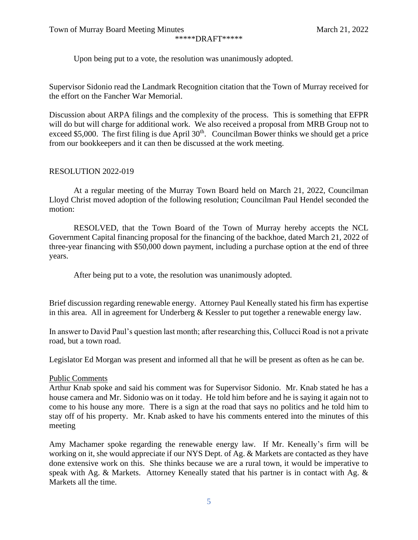Upon being put to a vote, the resolution was unanimously adopted.

Supervisor Sidonio read the Landmark Recognition citation that the Town of Murray received for the effort on the Fancher War Memorial.

Discussion about ARPA filings and the complexity of the process. This is something that EFPR will do but will charge for additional work. We also received a proposal from MRB Group not to exceed \$5,000. The first filing is due April  $30<sup>th</sup>$ . Councilman Bower thinks we should get a price from our bookkeepers and it can then be discussed at the work meeting.

## RESOLUTION 2022-019

At a regular meeting of the Murray Town Board held on March 21, 2022, Councilman Lloyd Christ moved adoption of the following resolution; Councilman Paul Hendel seconded the motion:

RESOLVED, that the Town Board of the Town of Murray hereby accepts the NCL Government Capital financing proposal for the financing of the backhoe, dated March 21, 2022 of three-year financing with \$50,000 down payment, including a purchase option at the end of three years.

After being put to a vote, the resolution was unanimously adopted.

Brief discussion regarding renewable energy. Attorney Paul Keneally stated his firm has expertise in this area. All in agreement for Underberg & Kessler to put together a renewable energy law.

In answer to David Paul's question last month; after researching this, Collucci Road is not a private road, but a town road.

Legislator Ed Morgan was present and informed all that he will be present as often as he can be.

## Public Comments

Arthur Knab spoke and said his comment was for Supervisor Sidonio. Mr. Knab stated he has a house camera and Mr. Sidonio was on it today. He told him before and he is saying it again not to come to his house any more. There is a sign at the road that says no politics and he told him to stay off of his property. Mr. Knab asked to have his comments entered into the minutes of this meeting

Amy Machamer spoke regarding the renewable energy law. If Mr. Keneally's firm will be working on it, she would appreciate if our NYS Dept. of Ag. & Markets are contacted as they have done extensive work on this. She thinks because we are a rural town, it would be imperative to speak with Ag. & Markets. Attorney Keneally stated that his partner is in contact with Ag. & Markets all the time.